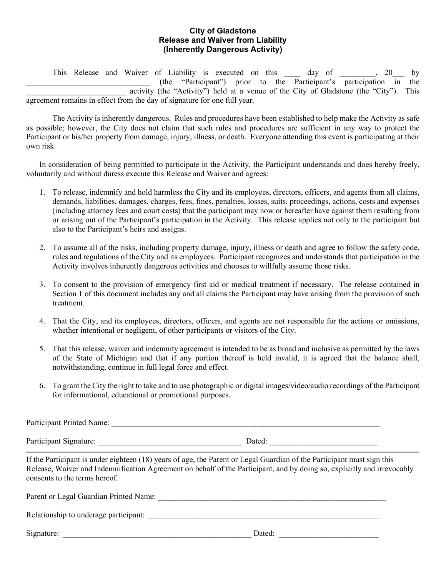## **City of Gladstone Release and Waiver from Liability (Inherently Dangerous Activity)**

This Release and Waiver of Liability is executed on this day of , 20 by  $(\text{the "Participant")}$  prior to the Participant's participation in the activity (the "Activity") held at a venue of the City of Gladstone (the "City"). This agreement remains in effect from the day of signature for one full year.

The Activity is inherently dangerous. Rules and procedures have been established to help make the Activity as safe as possible; however, the City does not claim that such rules and procedures are sufficient in any way to protect the Participant or his/her property from damage, injury, illness, or death. Everyone attending this event is participating at their own risk.

In consideration of being permitted to participate in the Activity, the Participant understands and does hereby freely, voluntarily and without duress execute this Release and Waiver and agrees:

- 1. To release, indemnify and hold harmless the City and its employees, directors, officers, and agents from all claims, demands, liabilities, damages, charges, fees, fines, penalties, losses, suits, proceedings, actions, costs and expenses (including attorney fees and court costs) that the participant may now or hereafter have against them resulting from or arising out of the Participant's participation in the Activity. This release applies not only to the participant but also to the Participant's heirs and assigns.
- 2. To assume all of the risks, including property damage, injury, illness or death and agree to follow the safety code, rules and regulations of the City and its employees. Participant recognizes and understands that participation in the Activity involves inherently dangerous activities and chooses to willfully assume those risks.
- 3. To consent to the provision of emergency first aid or medical treatment if necessary. The release contained in Section 1 of this document includes any and all claims the Participant may have arising from the provision of such treatment.
- 4. That the City, and its employees, directors, officers, and agents are not responsible for the actions or omissions, whether intentional or negligent, of other participants or visitors of the City.
- 5. That this release, waiver and indemnity agreement is intended to be as broad and inclusive as permitted by the laws of the State of Michigan and that if any portion thereof is held invalid, it is agreed that the balance shall, notwithstanding, continue in full legal force and effect.
- 6. To grant the City the right to take and to use photographic or digital images/video/audio recordings of the Participant for informational, educational or promotional purposes.

Participant Printed Name:

Participant Signature: \_\_\_\_\_\_\_\_\_\_\_\_\_\_\_\_\_\_\_\_\_\_\_\_\_\_\_\_\_\_\_\_\_\_\_\_ Dated: \_\_\_\_\_\_\_\_\_\_\_\_\_\_\_\_\_\_\_\_\_\_\_\_\_\_\_

If the Participant is under eighteen (18) years of age, the Parent or Legal Guardian of the Participant must sign this Release, Waiver and Indemnification Agreement on behalf of the Participant, and by doing so, explicitly and irrevocably consents to the terms hereof.

| Parent or Legal Guardian Printed Name: |        |  |
|----------------------------------------|--------|--|
| Relationship to underage participant:  |        |  |
| Signature:                             | Dated: |  |